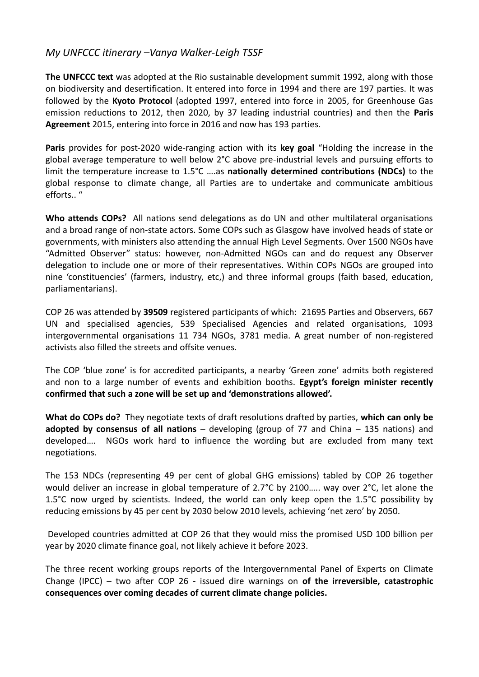## *My UNFCCC itinerary –Vanya Walker-Leigh TSSF*

**The UNFCCC text** was adopted at the Rio sustainable development summit 1992, along with those on biodiversity and desertification. It entered into force in 1994 and there are 197 parties. It was followed by the **Kyoto Protocol** (adopted 1997, entered into force in 2005, for Greenhouse Gas emission reductions to 2012, then 2020, by 37 leading industrial countries) and then the **Paris Agreement** 2015, entering into force in 2016 and now has 193 parties.

**Paris** provides for post-2020 wide-ranging action with its **key goal** "Holding the increase in the global average temperature to well below 2°C above pre-industrial levels and pursuing efforts to limit the temperature increase to 1.5°C ….as **nationally determined contributions (NDCs)** to the global response to climate change, all Parties are to undertake and communicate ambitious efforts.. "

**Who attends COPs?** All nations send delegations as do UN and other multilateral organisations and a broad range of non-state actors. Some COPs such as Glasgow have involved heads of state or governments, with ministers also attending the annual High Level Segments. Over 1500 NGOs have "Admitted Observer" status: however, non-Admitted NGOs can and do request any Observer delegation to include one or more of their representatives. Within COPs NGOs are grouped into nine 'constituencies' (farmers, industry, etc,) and three informal groups (faith based, education, parliamentarians).

COP 26 was attended by **39509** registered participants of which: 21695 Parties and Observers, 667 UN and specialised agencies, 539 Specialised Agencies and related organisations, 1093 intergovernmental organisations 11 734 NGOs, 3781 media. A great number of non-registered activists also filled the streets and offsite venues.

The COP 'blue zone' is for accredited participants, a nearby 'Green zone' admits both registered and non to a large number of events and exhibition booths. **Egypt's foreign minister recently confirmed that such a zone will be set up and 'demonstrations allowed'.**

**What do COPs do?** They negotiate texts of draft resolutions drafted by parties, **which can only be adopted by consensus of all nations** – developing (group of 77 and China – 135 nations) and developed…. NGOs work hard to influence the wording but are excluded from many text negotiations.

The 153 NDCs (representing 49 per cent of global GHG emissions) tabled by COP 26 together would deliver an increase in global temperature of 2.7°C by 2100….. way over 2°C, let alone the 1.5°C now urged by scientists. Indeed, the world can only keep open the 1.5°C possibility by reducing emissions by 45 per cent by 2030 below 2010 levels, achieving 'net zero' by 2050.

Developed countries admitted at COP 26 that they would miss the promised USD 100 billion per year by 2020 climate finance goal, not likely achieve it before 2023.

The three recent working groups reports of the Intergovernmental Panel of Experts on Climate Change (IPCC) – two after COP 26 - issued dire warnings on **of the irreversible, catastrophic consequences over coming decades of current climate change policies.**